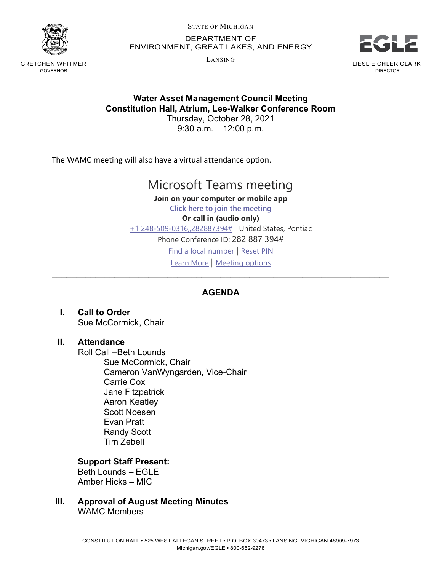

GRETCHEN WHITMER GOVERNOR

STATE OF MICHIGAN

DEPARTMENT OF ENVIRONMENT, GREAT LAKES, AND ENERGY

LANSING



DIRECTOR

### **Water Asset Management Council Meeting Constitution Hall, Atrium, Lee-Walker Conference Room**

Thursday, October 28, 2021 9:30 a.m. – 12:00 p.m.

The WAMC meeting will also have a virtual attendance option.

## Microsoft Teams meeting

**Join on your computer or mobile app [Click here to join the meeting](https://teams.microsoft.com/l/meetup-join/19%3ameeting_M2IyYjM1YWUtNTJhNC00ZmNhLWE3NDgtOWEzOWU3OTJjODdi%40thread.v2/0?context=%7b%22Tid%22%3a%22d5fb7087-3777-42ad-966a-892ef47225d1%22%2c%22Oid%22%3a%22fcc26bc2-91df-4348-8163-65754e0acf88%22%7d) Or call in (audio only)** [+1 248-509-0316,,282887394#](tel:+12485090316,,282887394#%20) United States, Pontiac Phone Conference ID: 282 887 394# [Find a local number](https://dialin.teams.microsoft.com/95e14c4b-c14d-430f-a556-75831bdf54bf?id=282887394) | [Reset PIN](https://mysettings.lync.com/pstnconferencing) [Learn More](https://aka.ms/JoinTeamsMeeting) | [Meeting options](https://teams.microsoft.com/meetingOptions/?organizerId=fcc26bc2-91df-4348-8163-65754e0acf88&tenantId=d5fb7087-3777-42ad-966a-892ef47225d1&threadId=19_meeting_M2IyYjM1YWUtNTJhNC00ZmNhLWE3NDgtOWEzOWU3OTJjODdi@thread.v2&messageId=0&language=en-US) \_\_\_\_\_\_\_\_\_\_\_\_\_\_\_\_\_\_\_\_\_\_\_\_\_\_\_\_\_\_\_\_\_\_\_\_\_\_\_\_\_\_\_\_\_\_\_\_\_\_\_\_\_\_\_\_\_\_\_\_\_\_\_\_\_\_\_\_\_\_

#### **AGENDA**

**I. Call to Order** Sue McCormick, Chair

#### **II. Attendance**

Roll Call –Beth Lounds Sue McCormick, Chair Cameron VanWyngarden, Vice-Chair Carrie Cox Jane Fitzpatrick Aaron Keatley Scott Noesen Evan Pratt Randy Scott Tim Zebell

#### **Support Staff Present:**

Beth Lounds – EGLE Amber Hicks – MIC

**III. Approval of August Meeting Minutes**

WAMC Members